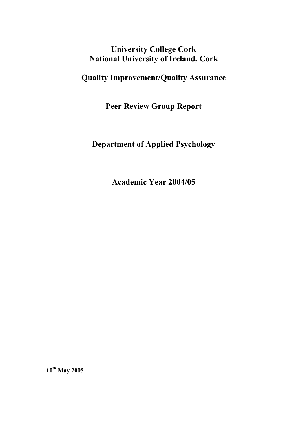## **University College Cork National University of Ireland, Cork**

# **Quality Improvement/Quality Assurance**

**Peer Review Group Report** 

## **Department of Applied Psychology**

**Academic Year 2004/05** 

**10th May 2005**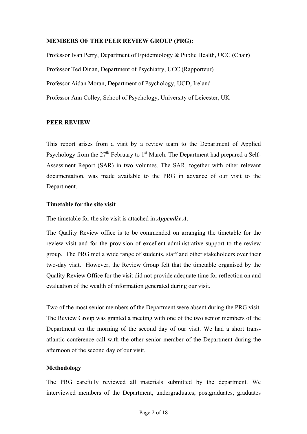#### **MEMBERS OF THE PEER REVIEW GROUP (PRG):**

Professor Ivan Perry, Department of Epidemiology & Public Health, UCC (Chair) Professor Ted Dinan, Department of Psychiatry, UCC (Rapporteur) Professor Aidan Moran, Department of Psychology, UCD, Ireland Professor Ann Colley, School of Psychology, University of Leicester, UK

## **PEER REVIEW**

This report arises from a visit by a review team to the Department of Applied Psychology from the  $27<sup>th</sup>$  February to 1<sup>st</sup> March. The Department had prepared a Self-Assessment Report (SAR) in two volumes. The SAR, together with other relevant documentation, was made available to the PRG in advance of our visit to the Department.

#### **Timetable for the site visit**

The timetable for the site visit is attached in *Appendix A*.

The Quality Review office is to be commended on arranging the timetable for the review visit and for the provision of excellent administrative support to the review group. The PRG met a wide range of students, staff and other stakeholders over their two-day visit. However, the Review Group felt that the timetable organised by the Quality Review Office for the visit did not provide adequate time for reflection on and evaluation of the wealth of information generated during our visit.

Two of the most senior members of the Department were absent during the PRG visit. The Review Group was granted a meeting with one of the two senior members of the Department on the morning of the second day of our visit. We had a short transatlantic conference call with the other senior member of the Department during the afternoon of the second day of our visit.

## **Methodology**

The PRG carefully reviewed all materials submitted by the department. We interviewed members of the Department, undergraduates, postgraduates, graduates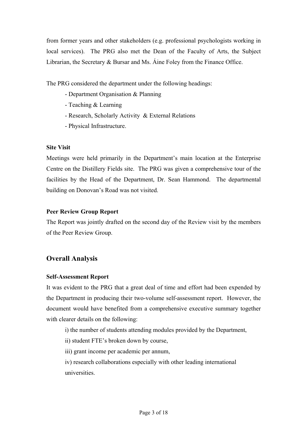from former years and other stakeholders (e.g. professional psychologists working in local services). The PRG also met the Dean of the Faculty of Arts, the Subject Librarian, the Secretary & Bursar and Ms. Áine Foley from the Finance Office.

The PRG considered the department under the following headings:

- Department Organisation & Planning
- Teaching & Learning
- Research, Scholarly Activity & External Relations
- Physical Infrastructure.

#### **Site Visit**

Meetings were held primarily in the Department's main location at the Enterprise Centre on the Distillery Fields site. The PRG was given a comprehensive tour of the facilities by the Head of the Department, Dr. Sean Hammond. The departmental building on Donovan's Road was not visited.

#### **Peer Review Group Report**

The Report was jointly drafted on the second day of the Review visit by the members of the Peer Review Group.

## **Overall Analysis**

#### **Self-Assessment Report**

It was evident to the PRG that a great deal of time and effort had been expended by the Department in producing their two-volume self-assessment report. However, the document would have benefited from a comprehensive executive summary together with clearer details on the following:

i) the number of students attending modules provided by the Department,

- ii) student FTE's broken down by course,
- iii) grant income per academic per annum,

iv) research collaborations especially with other leading international universities.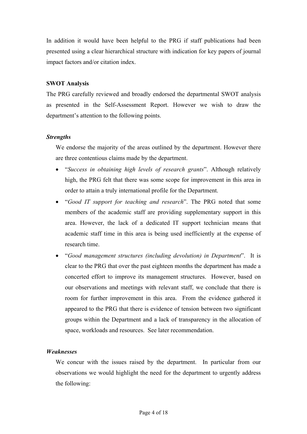In addition it would have been helpful to the PRG if staff publications had been presented using a clear hierarchical structure with indication for key papers of journal impact factors and/or citation index.

## **SWOT Analysis**

The PRG carefully reviewed and broadly endorsed the departmental SWOT analysis as presented in the Self-Assessment Report. However we wish to draw the department's attention to the following points.

## *Strengths*

We endorse the majority of the areas outlined by the department. However there are three contentious claims made by the department.

- "*Success in obtaining high levels of research grants*". Although relatively high, the PRG felt that there was some scope for improvement in this area in order to attain a truly international profile for the Department.
- "*Good IT support for teaching and research*". The PRG noted that some members of the academic staff are providing supplementary support in this area. However, the lack of a dedicated IT support technician means that academic staff time in this area is being used inefficiently at the expense of research time.
- "*Good management structures (including devolution) in Department*". It is clear to the PRG that over the past eighteen months the department has made a concerted effort to improve its management structures. However, based on our observations and meetings with relevant staff, we conclude that there is room for further improvement in this area. From the evidence gathered it appeared to the PRG that there is evidence of tension between two significant groups within the Department and a lack of transparency in the allocation of space, workloads and resources. See later recommendation.

## *Weaknesses*

We concur with the issues raised by the department. In particular from our observations we would highlight the need for the department to urgently address the following: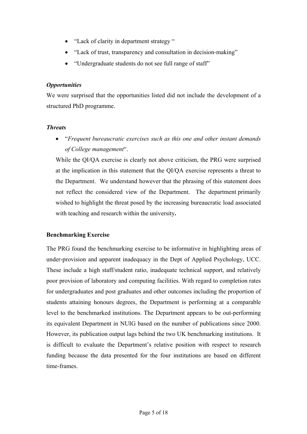- "Lack of clarity in department strategy"
- "Lack of trust, transparency and consultation in decision-making"
- "Undergraduate students do not see full range of staff"

#### *Opportunities*

We were surprised that the opportunities listed did not include the development of a structured PhD programme.

## *Threats*

• "*Frequent bureaucratic exercises such as this one and other instant demands of College management*".

While the QI/QA exercise is clearly not above criticism, the PRG were surprised at the implication in this statement that the QI/QA exercise represents a threat to the Department. We understand however that the phrasing of this statement does not reflect the considered view of the Department. The department primarily wished to highlight the threat posed by the increasing bureaucratic load associated with teaching and research within the university**.** 

## **Benchmarking Exercise**

The PRG found the benchmarking exercise to be informative in highlighting areas of under-provision and apparent inadequacy in the Dept of Applied Psychology, UCC. These include a high staff/student ratio, inadequate technical support, and relatively poor provision of laboratory and computing facilities. With regard to completion rates for undergraduates and post graduates and other outcomes including the proportion of students attaining honours degrees, the Department is performing at a comparable level to the benchmarked institutions. The Department appears to be out-performing its equivalent Department in NUIG based on the number of publications since 2000. However, its publication output lags behind the two UK benchmarking institutions. It is difficult to evaluate the Department's relative position with respect to research funding because the data presented for the four institutions are based on different time-frames.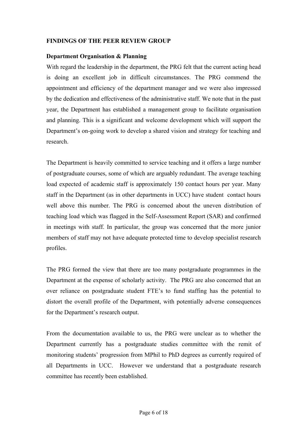#### **FINDINGS OF THE PEER REVIEW GROUP**

#### **Department Organisation & Planning**

With regard the leadership in the department, the PRG felt that the current acting head is doing an excellent job in difficult circumstances. The PRG commend the appointment and efficiency of the department manager and we were also impressed by the dedication and effectiveness of the administrative staff. We note that in the past year, the Department has established a management group to facilitate organisation and planning. This is a significant and welcome development which will support the Department's on-going work to develop a shared vision and strategy for teaching and research.

The Department is heavily committed to service teaching and it offers a large number of postgraduate courses, some of which are arguably redundant. The average teaching load expected of academic staff is approximately 150 contact hours per year. Many staff in the Department (as in other departments in UCC) have student contact hours well above this number. The PRG is concerned about the uneven distribution of teaching load which was flagged in the Self-Assessment Report (SAR) and confirmed in meetings with staff. In particular, the group was concerned that the more junior members of staff may not have adequate protected time to develop specialist research profiles.

The PRG formed the view that there are too many postgraduate programmes in the Department at the expense of scholarly activity. The PRG are also concerned that an over reliance on postgraduate student FTE's to fund staffing has the potential to distort the overall profile of the Department, with potentially adverse consequences for the Department's research output.

From the documentation available to us, the PRG were unclear as to whether the Department currently has a postgraduate studies committee with the remit of monitoring students' progression from MPhil to PhD degrees as currently required of all Departments in UCC. However we understand that a postgraduate research committee has recently been established.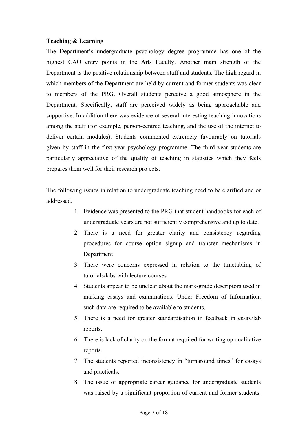#### **Teaching & Learning**

The Department's undergraduate psychology degree programme has one of the highest CAO entry points in the Arts Faculty. Another main strength of the Department is the positive relationship between staff and students. The high regard in which members of the Department are held by current and former students was clear to members of the PRG. Overall students perceive a good atmosphere in the Department. Specifically, staff are perceived widely as being approachable and supportive. In addition there was evidence of several interesting teaching innovations among the staff (for example, person-centred teaching, and the use of the internet to deliver certain modules). Students commented extremely favourably on tutorials given by staff in the first year psychology programme. The third year students are particularly appreciative of the quality of teaching in statistics which they feels prepares them well for their research projects.

The following issues in relation to undergraduate teaching need to be clarified and or addressed.

- 1. Evidence was presented to the PRG that student handbooks for each of undergraduate years are not sufficiently comprehensive and up to date.
- 2. There is a need for greater clarity and consistency regarding procedures for course option signup and transfer mechanisms in Department
- 3. There were concerns expressed in relation to the timetabling of tutorials/labs with lecture courses
- 4. Students appear to be unclear about the mark-grade descriptors used in marking essays and examinations. Under Freedom of Information, such data are required to be available to students.
- 5. There is a need for greater standardisation in feedback in essay/lab reports.
- 6. There is lack of clarity on the format required for writing up qualitative reports.
- 7. The students reported inconsistency in "turnaround times" for essays and practicals.
- 8. The issue of appropriate career guidance for undergraduate students was raised by a significant proportion of current and former students.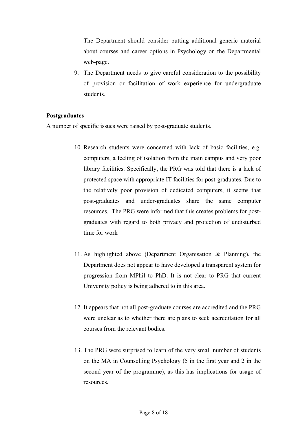The Department should consider putting additional generic material about courses and career options in Psychology on the Departmental web-page.

9. The Department needs to give careful consideration to the possibility of provision or facilitation of work experience for undergraduate students.

#### **Postgraduates**

A number of specific issues were raised by post-graduate students.

- 10. Research students were concerned with lack of basic facilities, e.g. computers, a feeling of isolation from the main campus and very poor library facilities. Specifically, the PRG was told that there is a lack of protected space with appropriate IT facilities for post-graduates. Due to the relatively poor provision of dedicated computers, it seems that post-graduates and under-graduates share the same computer resources. The PRG were informed that this creates problems for postgraduates with regard to both privacy and protection of undisturbed time for work
- 11. As highlighted above (Department Organisation & Planning), the Department does not appear to have developed a transparent system for progression from MPhil to PhD. It is not clear to PRG that current University policy is being adhered to in this area.
- 12. It appears that not all post-graduate courses are accredited and the PRG were unclear as to whether there are plans to seek accreditation for all courses from the relevant bodies.
- 13. The PRG were surprised to learn of the very small number of students on the MA in Counselling Psychology (5 in the first year and 2 in the second year of the programme), as this has implications for usage of resources.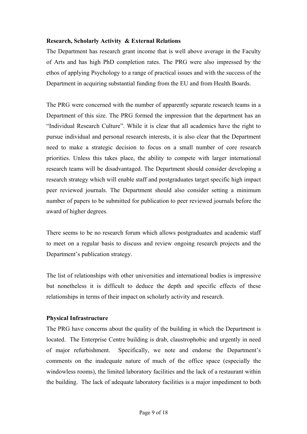## **Research, Scholarly Activity & External Relations**

The Department has research grant income that is well above average in the Faculty of Arts and has high PhD completion rates. The PRG were also impressed by the ethos of applying Psychology to a range of practical issues and with the success of the Department in acquiring substantial funding from the EU and from Health Boards.

The PRG were concerned with the number of apparently separate research teams in a Department of this size. The PRG formed the impression that the department has an "Individual Research Culture". While it is clear that all academics have the right to pursue individual and personal research interests, it is also clear that the Department need to make a strategic decision to focus on a small number of core research priorities. Unless this takes place, the ability to compete with larger international research teams will be disadvantaged. The Department should consider developing a research strategy which will enable staff and postgraduates target specific high impact peer reviewed journals. The Department should also consider setting a minimum number of papers to be submitted for publication to peer reviewed journals before the award of higher degrees.

There seems to be no research forum which allows postgraduates and academic staff to meet on a regular basis to discuss and review ongoing research projects and the Department's publication strategy.

The list of relationships with other universities and international bodies is impressive but nonetheless it is difficult to deduce the depth and specific effects of these relationships in terms of their impact on scholarly activity and research.

## **Physical Infrastructure**

The PRG have concerns about the quality of the building in which the Department is located. The Enterprise Centre building is drab, claustrophobic and urgently in need of major refurbishment. Specifically, we note and endorse the Department's comments on the inadequate nature of much of the office space (especially the windowless rooms), the limited laboratory facilities and the lack of a restaurant within the building. The lack of adequate laboratory facilities is a major impediment to both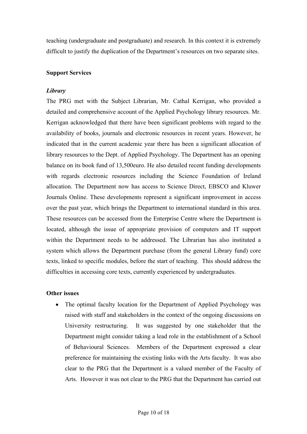teaching (undergraduate and postgraduate) and research. In this context it is extremely difficult to justify the duplication of the Department's resources on two separate sites.

## **Support Services**

## *Library*

The PRG met with the Subject Librarian, Mr. Cathal Kerrigan, who provided a detailed and comprehensive account of the Applied Psychology library resources. Mr. Kerrigan acknowledged that there have been significant problems with regard to the availability of books, journals and electronic resources in recent years. However, he indicated that in the current academic year there has been a significant allocation of library resources to the Dept. of Applied Psychology. The Department has an opening balance on its book fund of 13,500euro. He also detailed recent funding developments with regards electronic resources including the Science Foundation of Ireland allocation. The Department now has access to Science Direct, EBSCO and Kluwer Journals Online. These developments represent a significant improvement in access over the past year, which brings the Department to international standard in this area. These resources can be accessed from the Enterprise Centre where the Department is located, although the issue of appropriate provision of computers and IT support within the Department needs to be addressed. The Librarian has also instituted a system which allows the Department purchase (from the general Library fund) core texts, linked to specific modules, before the start of teaching. This should address the difficulties in accessing core texts, currently experienced by undergraduates.

## **Other issues**

• The optimal faculty location for the Department of Applied Psychology was raised with staff and stakeholders in the context of the ongoing discussions on University restructuring. It was suggested by one stakeholder that the Department might consider taking a lead role in the establishment of a School of Behavioural Sciences. Members of the Department expressed a clear preference for maintaining the existing links with the Arts faculty. It was also clear to the PRG that the Department is a valued member of the Faculty of Arts. However it was not clear to the PRG that the Department has carried out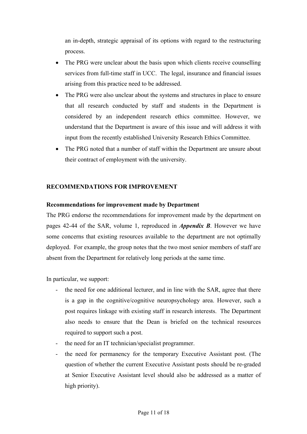an in-depth, strategic appraisal of its options with regard to the restructuring process.

- The PRG were unclear about the basis upon which clients receive counselling services from full-time staff in UCC. The legal, insurance and financial issues arising from this practice need to be addressed.
- The PRG were also unclear about the systems and structures in place to ensure that all research conducted by staff and students in the Department is considered by an independent research ethics committee. However, we understand that the Department is aware of this issue and will address it with input from the recently established University Research Ethics Committee.
- The PRG noted that a number of staff within the Department are unsure about their contract of employment with the university.

#### **RECOMMENDATIONS FOR IMPROVEMENT**

#### **Recommendations for improvement made by Department**

The PRG endorse the recommendations for improvement made by the department on pages 42-44 of the SAR, volume 1, reproduced in *Appendix B*. However we have some concerns that existing resources available to the department are not optimally deployed. For example, the group notes that the two most senior members of staff are absent from the Department for relatively long periods at the same time.

In particular, we support:

- the need for one additional lecturer, and in line with the SAR, agree that there is a gap in the cognitive/cognitive neuropsychology area. However, such a post requires linkage with existing staff in research interests. The Department also needs to ensure that the Dean is briefed on the technical resources required to support such a post.
- the need for an IT technician/specialist programmer.
- the need for permanency for the temporary Executive Assistant post. (The question of whether the current Executive Assistant posts should be re-graded at Senior Executive Assistant level should also be addressed as a matter of high priority).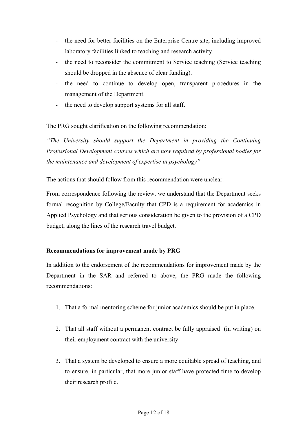- the need for better facilities on the Enterprise Centre site, including improved laboratory facilities linked to teaching and research activity.
- the need to reconsider the commitment to Service teaching (Service teaching should be dropped in the absence of clear funding).
- the need to continue to develop open, transparent procedures in the management of the Department.
- the need to develop support systems for all staff.

The PRG sought clarification on the following recommendation:

*"The University should support the Department in providing the Continuing Professional Development courses which are now required by professional bodies for the maintenance and development of expertise in psychology"* 

The actions that should follow from this recommendation were unclear.

From correspondence following the review, we understand that the Department seeks formal recognition by College/Faculty that CPD is a requirement for academics in Applied Psychology and that serious consideration be given to the provision of a CPD budget, along the lines of the research travel budget.

## **Recommendations for improvement made by PRG**

In addition to the endorsement of the recommendations for improvement made by the Department in the SAR and referred to above, the PRG made the following recommendations:

- 1. That a formal mentoring scheme for junior academics should be put in place.
- 2. That all staff without a permanent contract be fully appraised (in writing) on their employment contract with the university
- 3. That a system be developed to ensure a more equitable spread of teaching, and to ensure, in particular, that more junior staff have protected time to develop their research profile.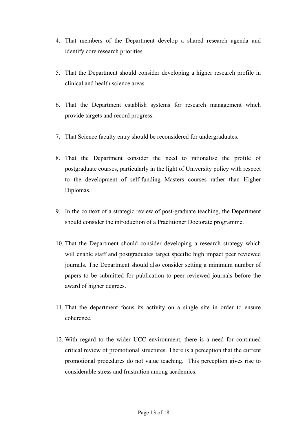- 4. That members of the Department develop a shared research agenda and identify core research priorities.
- 5. That the Department should consider developing a higher research profile in clinical and health science areas.
- 6. That the Department establish systems for research management which provide targets and record progress.
- 7. That Science faculty entry should be reconsidered for undergraduates.
- 8. That the Department consider the need to rationalise the profile of postgraduate courses, particularly in the light of University policy with respect to the development of self-funding Masters courses rather than Higher Diplomas.
- 9. In the context of a strategic review of post-graduate teaching, the Department should consider the introduction of a Practitioner Doctorate programme.
- 10. That the Department should consider developing a research strategy which will enable staff and postgraduates target specific high impact peer reviewed journals. The Department should also consider setting a minimum number of papers to be submitted for publication to peer reviewed journals before the award of higher degrees.
- 11. That the department focus its activity on a single site in order to ensure coherence.
- 12. With regard to the wider UCC environment, there is a need for continued critical review of promotional structures. There is a perception that the current promotional procedures do not value teaching. This perception gives rise to considerable stress and frustration among academics.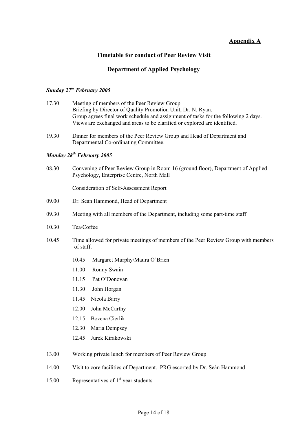## **Appendix A**

#### **Timetable for conduct of Peer Review Visit**

## **Department of Applied Psychology**

## *Sunday 27th February 2005*

- 17.30 Meeting of members of the Peer Review Group Briefing by Director of Quality Promotion Unit, Dr. N. Ryan. Group agrees final work schedule and assignment of tasks for the following 2 days. Views are exchanged and areas to be clarified or explored are identified.
- 19.30 Dinner for members of the Peer Review Group and Head of Department and Departmental Co-ordinating Committee.

#### *Monday 28th February 2005*

08.30 Convening of Peer Review Group in Room 16 (ground floor), Department of Applied Psychology, Enterprise Centre, North Mall

#### Consideration of Self-Assessment Report

- 09.00 Dr. Seán Hammond, Head of Department
- 09.30 Meeting with all members of the Department, including some part-time staff
- 10.30 Tea/Coffee
- 10.45 Time allowed for private meetings of members of the Peer Review Group with members of staff.
	- 10.45 Margaret Murphy/Maura O'Brien
	- 11.00 Ronny Swain
	- 11.15 Pat O'Donovan
	- 11.30 John Horgan
	- 11.45 Nicola Barry
	- 12.00 John McCarthy
	- 12.15 Bozena Cierlik
	- 12.30 Maria Dempsey
	- 12.45 Jurek Kirakowski
- 13.00 Working private lunch for members of Peer Review Group
- 14.00 Visit to core facilities of Department. PRG escorted by Dr. Seán Hammond
- 15.00 Representatives of  $1<sup>st</sup>$  year students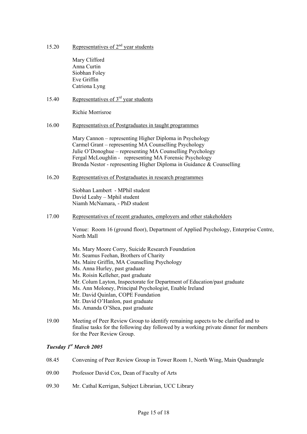15.20 Representatives of  $2<sup>nd</sup>$  year students

Mary Clifford Anna Curtin Siobhan Foley Eve Griffin Catriona Lyng

#### 15.40 Representatives of 3<sup>rd</sup> year students

Richie Morrisroe

#### 16.00 Representatives of Postgraduates in taught programmes

Mary Cannon – representing Higher Diploma in Psychology Carmel Grant – representing MA Counselling Psychology Julie O'Donoghue – representing MA Counselling Psychology Fergal McLoughlin - representing MA Forensic Psychology Brenda Nestor - representing Higher Diploma in Guidance & Counselling

16.20 Representatives of Postgraduates in research programmes

Siobhan Lambert - MPhil student David Leahy – Mphil student Niamh McNamara, - PhD student

17.00 Representatives of recent graduates, employers and other stakeholders

Venue: Room 16 (ground floor), Department of Applied Psychology, Enterprise Centre, North Mall

Ms. Mary Moore Corry, Suicide Research Foundation Mr. Seamus Feehan, Brothers of Charity Ms. Maire Griffin, MA Counselling Psychology Ms. Anna Hurley, past graduate Ms. Roisin Kelleher, past graduate Mr. Colum Layton, Inspectorate for Department of Education/past graduate Ms. Ann Moloney, Principal Psychologist, Enable Ireland Mr. David Quinlan, COPE Foundation Mr. David O'Hanlon, past graduate Ms. Amanda O'Shea, past graduate

19.00 Meeting of Peer Review Group to identify remaining aspects to be clarified and to finalise tasks for the following day followed by a working private dinner for members for the Peer Review Group.

#### *Tuesday 1st March 2005*

- 08.45 Convening of Peer Review Group in Tower Room 1, North Wing, Main Quadrangle
- 09.00 Professor David Cox, Dean of Faculty of Arts
- 09.30 Mr. Cathal Kerrigan, Subject Librarian, UCC Library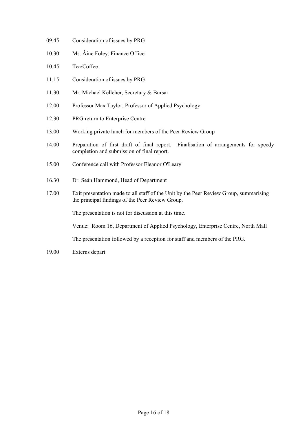- 09.45 Consideration of issues by PRG
- 10.30 Ms. Áine Foley, Finance Office
- 10.45 Tea/Coffee
- 11.15 Consideration of issues by PRG
- 11.30 Mr. Michael Kelleher, Secretary & Bursar
- 12.00 Professor Max Taylor, Professor of Applied Psychology
- 12.30 PRG return to Enterprise Centre
- 13.00 Working private lunch for members of the Peer Review Group
- 14.00 Preparation of first draft of final report. Finalisation of arrangements for speedy completion and submission of final report.
- 15.00 Conference call with Professor Eleanor O'Leary
- 16.30 Dr. Seán Hammond, Head of Department
- 17.00 Exit presentation made to all staff of the Unit by the Peer Review Group, summarising the principal findings of the Peer Review Group.

The presentation is not for discussion at this time.

Venue:Room 16, Department of Applied Psychology, Enterprise Centre, North Mall

The presentation followed by a reception for staff and members of the PRG.

19.00 Externs depart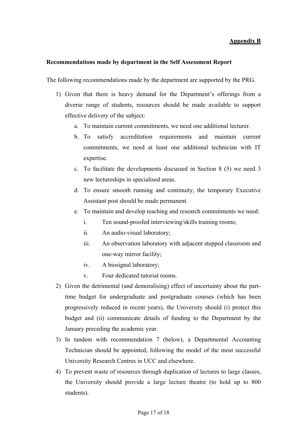## **Appendix B**

#### **Recommendations made by department in the Self Assessment Report**

The following recommendations made by the department are supported by the PRG.

- 1) Given that there is heavy demand for the Department's offerings from a diverse range of students, resources should be made available to support effective delivery of the subject:
	- a. To maintain current commitments, we need one additional lecturer.
	- b. To satisfy accreditation requirements and maintain current commitments, we need at least one additional technician with IT expertise.
	- c. To facilitate the developments discussed in Section 8 (5) we need 3 new lectureships in specialised areas.
	- d. To ensure smooth running and continuity, the temporary Executive Assistant post should be made permanent.
	- e. To maintain and develop teaching and research commitments we need:
		- i. Ten sound-proofed interviewing/skills training rooms;
		- ii. An audio-visual laboratory;
		- iii. An observation laboratory with adjacent stepped classroom and one-way mirror facility;
		- iv. A biosignal laboratory;
		- v. Four dedicated tutorial rooms.
- 2) Given the detrimental (and demoralising) effect of uncertainty about the parttime budget for undergraduate and postgraduate courses (which has been progressively reduced in recent years), the University should (i) protect this budget and (ii) communicate details of funding to the Department by the January preceding the academic year.
- 3) In tandem with recommendation 7 (below), a Departmental Accounting Technician should be appointed, following the model of the most successful University Research Centres in UCC and elsewhere.
- 4) To prevent waste of resources through duplication of lectures to large classes, the University should provide a large lecture theatre (to hold up to 800 students).